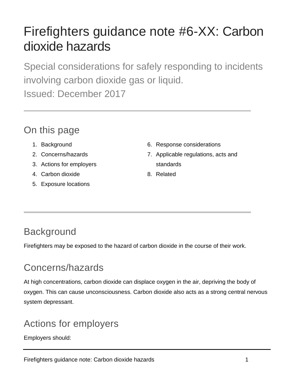# Firefighters guidance note #6-XX: Carbon dioxide hazards

Special considerations for safely responding to incidents involving carbon dioxide gas or liquid. Issued: December 2017

#### On this page

- 1. Background
- 2. Concerns/hazards
- 3. Actions for employers
- 4. Carbon dioxide
- 5. Exposure locations
- 6. Response considerations
- 7. Applicable regulations, acts and standards
- 8. Related

## **Background**

Firefighters may be exposed to the hazard of carbon dioxide in the course of their work.

# Concerns/hazards

At high concentrations, carbon dioxide can displace oxygen in the air, depriving the body of oxygen. This can cause unconsciousness. Carbon dioxide also acts as a strong central nervous system depressant.

# Actions for employers

Employers should: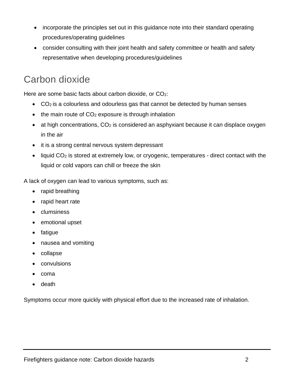- incorporate the principles set out in this guidance note into their standard operating procedures/operating guidelines
- consider consulting with their joint health and safety committee or health and safety representative when developing procedures/guidelines

## Carbon dioxide

Here are some basic facts about carbon dioxide, or CO<sub>2</sub>:

- CO<sub>2</sub> is a colourless and odourless gas that cannot be detected by human senses
- $\bullet$  the main route of CO<sub>2</sub> exposure is through inhalation
- $\bullet$  at high concentrations,  $CO<sub>2</sub>$  is considered an asphyxiant because it can displace oxygen in the air
- it is a strong central nervous system depressant
- liquid CO<sub>2</sub> is stored at extremely low, or cryogenic, temperatures direct contact with the liquid or cold vapors can chill or freeze the skin

A lack of oxygen can lead to various symptoms, such as:

- rapid breathing
- rapid heart rate
- clumsiness
- emotional upset
- fatigue
- nausea and vomiting
- collapse
- convulsions
- coma
- death

Symptoms occur more quickly with physical effort due to the increased rate of inhalation.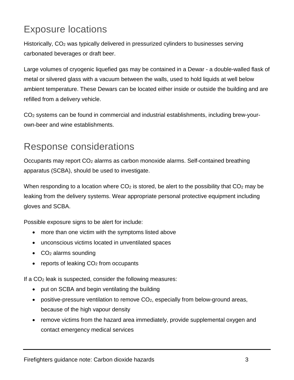## Exposure locations

Historically, CO<sub>2</sub> was typically delivered in pressurized cylinders to businesses serving carbonated beverages or draft beer.

Large volumes of cryogenic liquefied gas may be contained in a Dewar - a double-walled flask of metal or silvered glass with a vacuum between the walls, used to hold liquids at well below ambient temperature. These Dewars can be located either inside or outside the building and are refilled from a delivery vehicle.

CO2 systems can be found in commercial and industrial establishments, including brew-yourown-beer and wine establishments.

#### Response considerations

Occupants may report CO<sub>2</sub> alarms as carbon monoxide alarms. Self-contained breathing apparatus (SCBA), should be used to investigate.

When responding to a location where  $CO<sub>2</sub>$  is stored, be alert to the possibility that  $CO<sub>2</sub>$  may be leaking from the delivery systems. Wear appropriate personal protective equipment including gloves and SCBA.

Possible exposure signs to be alert for include:

- more than one victim with the symptoms listed above
- unconscious victims located in unventilated spaces
- CO<sub>2</sub> alarms sounding
- reports of leaking  $CO<sub>2</sub>$  from occupants

If a CO2 leak is suspected, consider the following measures:

- put on SCBA and begin ventilating the building
- positive-pressure ventilation to remove CO<sub>2</sub>, especially from below-ground areas, because of the high vapour density
- remove victims from the hazard area immediately, provide supplemental oxygen and contact emergency medical services